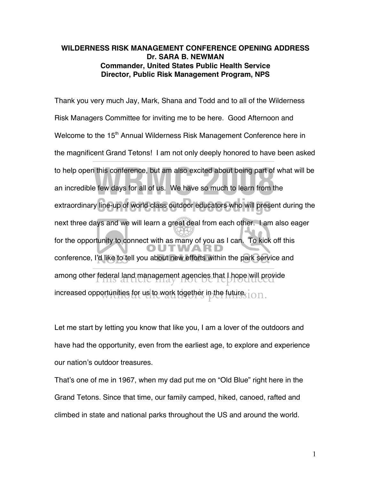### **WILDERNESS RISK MANAGEMENT CONFERENCE OPENING ADDRESS Dr. SARA B. NEWMAN Commander, United States Public Health Service Director, Public Risk Management Program, NPS**

Thank you very much Jay, Mark, Shana and Todd and to all of the Wilderness Risk Managers Committee for inviting me to be here. Good Afternoon and Welcome to the 15<sup>th</sup> Annual Wilderness Risk Management Conference here in the magnificent Grand Tetons! I am not only deeply honored to have been asked to help open this conference, but am also excited about being part of what will be an incredible few days for all of us. We have so much to learn from the an incredible few days for all of us. We have so much to learn from the extraordinary line-up of world class outdoor educators who will present during the next three days and we will learn a great deal from each other. I am also eager for the opportunity to connect with as many of you as I can. To kick off this conference, I'd like to tell you about new efforts within the park service and among other federal land management agencies that Lhope will provide<br>This article may not be reproduced increased opportunities for us to work together in the future. $\frac{\cdot}{\cdot}$  on. line-up of world class outdoor educators who will prese

Let me start by letting you know that like you, I am a lover of the outdoors and have had the opportunity, even from the earliest age, to explore and experience our nation's outdoor treasures.

That's one of me in 1967, when my dad put me on "Old Blue" right here in the Grand Tetons. Since that time, our family camped, hiked, canoed, rafted and climbed in state and national parks throughout the US and around the world.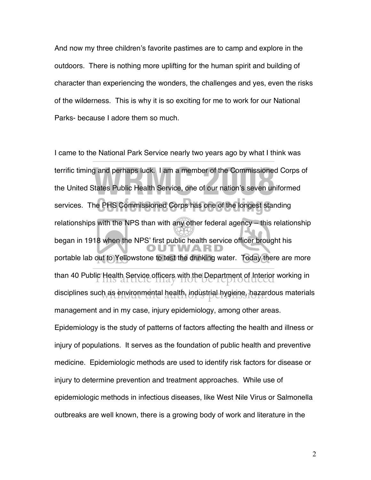And now my three children's favorite pastimes are to camp and explore in the outdoors. There is nothing more uplifting for the human spirit and building of character than experiencing the wonders, the challenges and yes, even the risks of the wilderness. This is why it is so exciting for me to work for our National Parks- because I adore them so much.

I came to the National Park Service nearly two years ago by what I think was terrific timing and perhaps luck. I am a member of the Commissioned Corps of the United States Public Health Service, one of our nation's seven uniformed the United States Public Health Service, one of our nation's seven uniformed services. The PHS Commissioned Corps has one of the longest standing relationships with the NPS than with any other federal agency – this relationship began in 1918 when the NPS' first public health service officer brought his portable lab out to Yellowstone to test the drinking water. Today there are more than 40 Public Health Service officers with the Department of Interior working in disciplines such as environmental health, industrial hygiene, hazardous materials management and in my case, injury epidemiology, among other areas. Epidemiology is the study of patterns of factors affecting the health and illness or injury of populations. It serves as the foundation of public health and preventive medicine. Epidemiologic methods are used to identify risk factors for disease or injury to determine prevention and treatment approaches. While use of epidemiologic methods in infectious diseases, like West Nile Virus or Salmonella outbreaks are well known, there is a growing body of work and literature in the **e PHS Commissioned Corps has one of the longest state** 

2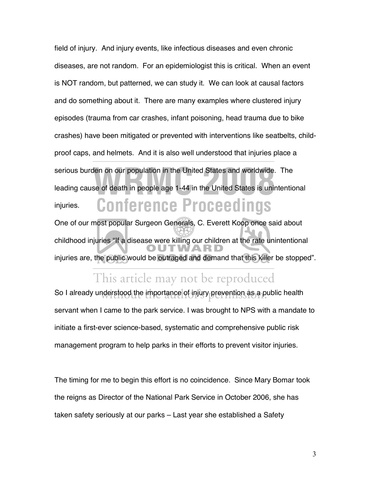field of injury. And injury events, like infectious diseases and even chronic diseases, are not random. For an epidemiologist this is critical. When an event is NOT random, but patterned, we can study it. We can look at causal factors and do something about it. There are many examples where clustered injury episodes (trauma from car crashes, infant poisoning, head trauma due to bike crashes) have been mitigated or prevented with interventions like seatbelts, childproof caps, and helmets. And it is also well understood that injuries place a serious burden on our population in the United States and worldwide. The leading cause of death in people age 1-44 in the United States is unintentional injuries. **Conference Proceedings** den on our population in the United States and worldwide.<br>Se of death in people age 1-44 in the United States is unit

One of our most popular Surgeon Generals, C. Everett Koop once said about childhood injuries "If a disease were killing our children at the rate unintentional injuries are, the public would be outraged and demand that this killer be stopped".

## This article may not be reproduced

So I already understood the importance of injury prevention as a public health servant when I came to the park service. I was brought to NPS with a mandate to initiate a first-ever science-based, systematic and comprehensive public risk management program to help parks in their efforts to prevent visitor injuries.

The timing for me to begin this effort is no coincidence. Since Mary Bomar took the reigns as Director of the National Park Service in October 2006, she has taken safety seriously at our parks – Last year she established a Safety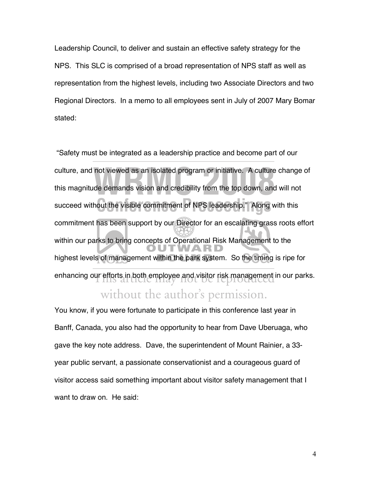Leadership Council, to deliver and sustain an effective safety strategy for the NPS. This SLC is comprised of a broad representation of NPS staff as well as representation from the highest levels, including two Associate Directors and two Regional Directors. In a memo to all employees sent in July of 2007 Mary Bomar stated:

"Safety must be integrated as a leadership practice and become part of our culture, and not viewed as an isolated program or initiative. A culture change of<br>this magnitude demands vision and credibility from the top down, and will not this magnitude demands vision and credibility from the top down, and will not succeed without the visible commitment of NPS leadership." Along with this commitment has been support by our Director for an escalating grass roots effort within our parks to bring concepts of Operational Risk Management to the highest levels of management within the park system. So the timing is ripe for enhancing our efforts in both employee and visitor risk management in our parks.<br>The reproduced out the visible commitment of NPS leadership." Along without the author's permission.

You know, if you were fortunate to participate in this conference last year in Banff, Canada, you also had the opportunity to hear from Dave Uberuaga, who gave the key note address. Dave, the superintendent of Mount Rainier, a 33 year public servant, a passionate conservationist and a courageous guard of visitor access said something important about visitor safety management that I want to draw on. He said: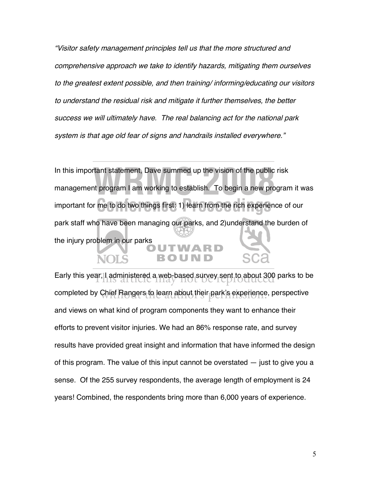"Visitor safety management principles tell us that the more structured and comprehensive approach we take to identify hazards, mitigating them ourselves to the greatest extent possible, and then training/ informing/educating our visitors to understand the residual risk and mitigate it further themselves, the better success we will ultimately have. The real balancing act for the national park system is that age old fear of signs and handrails installed everywhere."

In this important statement, Dave summed up the vision of the public risk management program I am working to establish. To begin a new program it was important for me to do two things first: 1) learn from the rich experience of our park staff who have been managing our parks, and 2)understand the burden of the injury problem in our parks me to do two things first: 1) learn from the rich experie Trant statement, Dave summed up the vision of the public<br>ht program I am working to establish. To begin a new pro

Early this year; I administered a web-based survey sent to about 300 parks to be learly in the state of the produced completed by Chief Rangers to learn about their park's experience, perspective and views on what kind of program components they want to enhance their efforts to prevent visitor injuries. We had an 86% response rate, and survey results have provided great insight and information that have informed the design of this program. The value of this input cannot be overstated — just to give you a sense. Of the 255 survey respondents, the average length of employment is 24 years! Combined, the respondents bring more than 6,000 years of experience.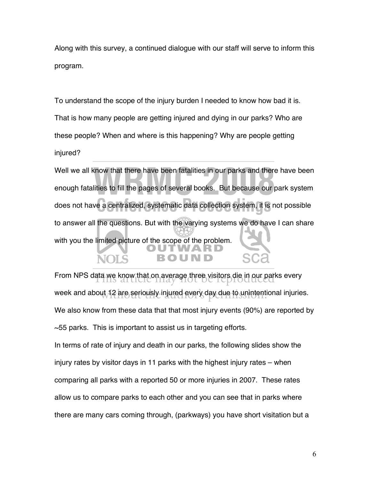Along with this survey, a continued dialogue with our staff will serve to inform this program.

To understand the scope of the injury burden I needed to know how bad it is. That is how many people are getting injured and dying in our parks? Who are these people? When and where is this happening? Why are people getting injured?

Well we all know that there have been fatalities in our parks and there have been enough fatalities to fill the pages of several books. But because our park system does not have a centralized, systematic data collection system, it is not possible to answer all the questions. But with the varying systems we do have I can share with you the limited picture of the scope of the problem. **e** a centralized, systematic data collection system, it is where have been fatalities in our parks and there<br>lities to fill the pages of several books. But because our parts

From NPS data we know that on average three visitors die in our parks every little and the reproduced week and about 12 are seriously injured every day due to unintentional injuries. We also know from these data that that most injury events (90%) are reported by  $\sim$ 55 parks. This is important to assist us in targeting efforts.

In terms of rate of injury and death in our parks, the following slides show the injury rates by visitor days in 11 parks with the highest injury rates – when comparing all parks with a reported 50 or more injuries in 2007. These rates allow us to compare parks to each other and you can see that in parks where there are many cars coming through, (parkways) you have short visitation but a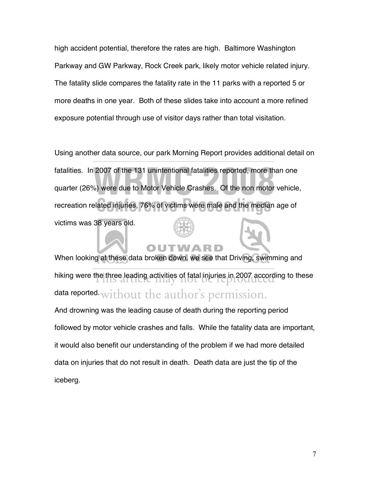high accident potential, therefore the rates are high. Baltimore Washington Parkway and GW Parkway, Rock Creek park, likely motor vehicle related injury. The fatality slide compares the fatality rate in the 11 parks with a reported 5 or more deaths in one year. Both of these slides take into account a more refined exposure potential through use of visitor days rather than total visitation.

Using another data source, our park Morning Report provides additional detail on fatalities. In 2007 of the 131 unintentional fatalities reported, more than one quarter (26%) were due to Motor Vehicle Crashes. Of the non motor vehicle, recreation related injuries, 76% of victims were male and the median age of victims was 38 years old. ated injuries, 76% of victims were male and the medial 2007 of the 131 unintentional fatalities reported, more the<br>
weight of Motor Vehicle Crashes. Of the non motor<br>
weight of Motor Vehicle Crashes. Of the non motor

## TN

When looking at these data broken down, we see that Driving, swimming and hiking were the three leading activities of fatal injuries in 2007 according to these<br>This article may not be reproduced data reported without the author's permission. And drowning was the leading cause of death during the reporting period

followed by motor vehicle crashes and falls. While the fatality data are important, it would also benefit our understanding of the problem if we had more detailed data on injuries that do not result in death. Death data are just the tip of the iceberg.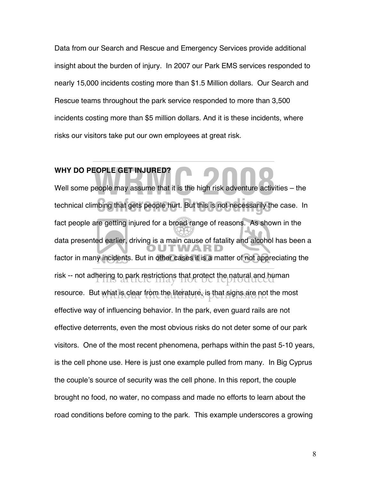Data from our Search and Rescue and Emergency Services provide additional insight about the burden of injury. In 2007 our Park EMS services responded to nearly 15,000 incidents costing more than \$1.5 Million dollars. Our Search and Rescue teams throughout the park service responded to more than 3,500 incidents costing more than \$5 million dollars. And it is these incidents, where risks our visitors take put our own employees at great risk.

## **WHY DO PEOPLE GET INJURED?**

Well some people may assume that it is the high risk adventure activities – the technical climbing that gets people hurt. But this is not necessarily the case. In fact people are getting injured for a broad range of reasons. As shown in the data presented earlier, driving is a main cause of fatality and alcohol has been a factor in many incidents. But in other cases it is a matter of not appreciating the risk -- not adhering to park restrictions that protect the natural and human is an interesting of the natural and human resource. But what is clear from the literature, is that signs are not the most effective way of influencing behavior. In the park, even guard rails are not effective deterrents, even the most obvious risks do not deter some of our park visitors. One of the most recent phenomena, perhaps within the past 5-10 years, is the cell phone use. Here is just one example pulled from many. In Big Cyprus the couple's source of security was the cell phone. In this report, the couple brought no food, no water, no compass and made no efforts to learn about the road conditions before coming to the park. This example underscores a growing bing that gets people hurt. But this is not necessarily the **EOPLE GET INJURED?**<br>Deople may assume that it is the high risk adventure activ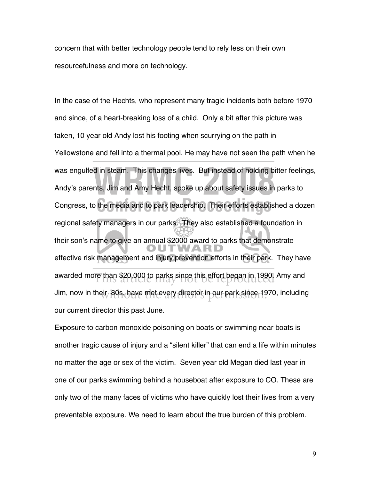concern that with better technology people tend to rely less on their own resourcefulness and more on technology.

In the case of the Hechts, who represent many tragic incidents both before 1970 and since, of a heart-breaking loss of a child. Only a bit after this picture was taken, 10 year old Andy lost his footing when scurrying on the path in Yellowstone and fell into a thermal pool. He may have not seen the path when he was engulfed in steam. This changes lives. But instead of holding bitter feelings, Andy's parents, Jim and Amy Hecht, spoke up about safety issues in parks to Congress, to the media and to park leadership. Their efforts established a dozen regional safety managers in our parks. They also established a foundation in their son's name to give an annual \$2000 award to parks that demonstrate effective risk management and injury prevention efforts in their park. They have awarded more than \$20,000 to parks since this effort began in 1990. Amy and awarded may all the reproduced Jim, now in their, 80s, have met every director in our park since 1970, including our current director this past June. the media and to park leadership. Their efforts establi d in steam. This changes lives. But instead of holding bints, Jim and Amy Hecht, spoke up about safety issues in

Exposure to carbon monoxide poisoning on boats or swimming near boats is another tragic cause of injury and a "silent killer" that can end a life within minutes no matter the age or sex of the victim. Seven year old Megan died last year in one of our parks swimming behind a houseboat after exposure to CO. These are only two of the many faces of victims who have quickly lost their lives from a very preventable exposure. We need to learn about the true burden of this problem.

9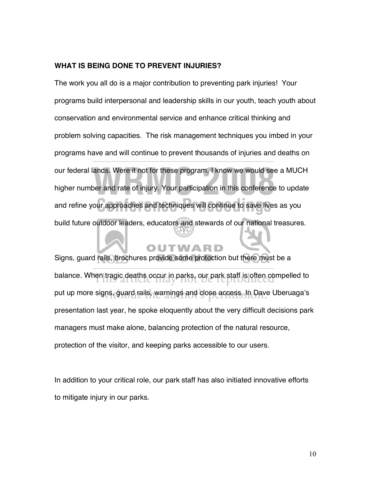### **WHAT IS BEING DONE TO PREVENT INJURIES?**

The work you all do is a major contribution to preventing park injuries! Your programs build interpersonal and leadership skills in our youth, teach youth about conservation and environmental service and enhance critical thinking and problem solving capacities. The risk management techniques you imbed in your programs have and will continue to prevent thousands of injuries and deaths on our federal lands. Were it not for these program, I know we would see a MUCH higher number and rate of injury. Your participation in this conference to update and refine your approaches and techniques will continue to save lives as you build future outdoor leaders, educators and stewards of our national treasures. ur approaches and techniques will continue to save live ands. Were it not for these program, I know we would see<br>Der and rate of injury. Your participation in this conference

Signs, guard rails, brochures provide some protection but there must be a balance. When tragic deaths occur in parks, our park staff is often compelled to put up more signs, guard rails, warnings and close access. In Dave Uberuaga's presentation last year, he spoke eloquently about the very difficult decisions park managers must make alone, balancing protection of the natural resource, protection of the visitor, and keeping parks accessible to our users.

In addition to your critical role, our park staff has also initiated innovative efforts to mitigate injury in our parks.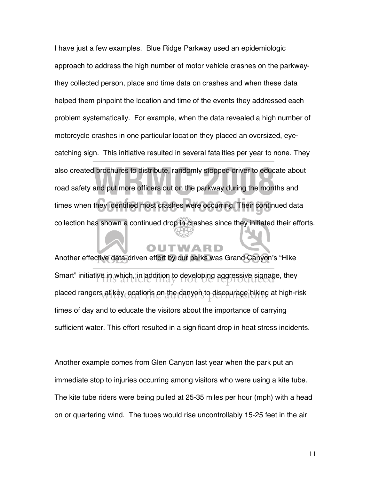I have just a few examples. Blue Ridge Parkway used an epidemiologic approach to address the high number of motor vehicle crashes on the parkwaythey collected person, place and time data on crashes and when these data helped them pinpoint the location and time of the events they addressed each problem systematically. For example, when the data revealed a high number of motorcycle crashes in one particular location they placed an oversized, eyecatching sign. This initiative resulted in several fatalities per year to none. They also created brochures to distribute, randomly stopped driver to educate about<br>road safety and put more officers out on the parkway during the months and road safety and put more officers out on the parkway during the months and times when they identified most crashes were occurring. Their continued data collection has shown a continued drop in crashes since they initiated their efforts. hey identified most crashes were occurring. Their conti

Another effective data-driven effort by our parks was Grand Canyon's "Hike Smart" initiative in which, in addition to developing aggressive signage, they see they contain the state of the state of the state of the state of the state of the state of the state of the state of the state of the state placed rangers at key locations on the danyon to discourage hiking at high-risk times of day and to educate the visitors about the importance of carrying sufficient water. This effort resulted in a significant drop in heat stress incidents.

Another example comes from Glen Canyon last year when the park put an immediate stop to injuries occurring among visitors who were using a kite tube. The kite tube riders were being pulled at 25-35 miles per hour (mph) with a head on or quartering wind. The tubes would rise uncontrollably 15-25 feet in the air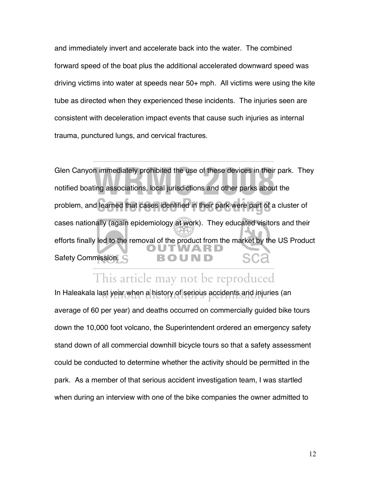and immediately invert and accelerate back into the water. The combined forward speed of the boat plus the additional accelerated downward speed was driving victims into water at speeds near 50+ mph. All victims were using the kite tube as directed when they experienced these incidents. The injuries seen are consistent with deceleration impact events that cause such injuries as internal trauma, punctured lungs, and cervical fractures.

In immediately prohibited the use of these devices in their<br>ting associations, local jurisdictions and other parks about Glen Canyon immediately prohibited the use of these devices in their park. They notified boating associations, local jurisdictions and other parks about the learned that cases identified in their park were part of problem, and learned that cases identified in their park were part of a cluster of cases nationally (again epidemiology at work). They educated visitors and their efforts finally led to the removal of the product from the market by the US Product Safety Commission. sca

## This article may not be reproduced

In Haleakala last year when a history of serious accidents and injuries (an average of 60 per year) and deaths occurred on commercially guided bike tours down the 10,000 foot volcano, the Superintendent ordered an emergency safety stand down of all commercial downhill bicycle tours so that a safety assessment could be conducted to determine whether the activity should be permitted in the park. As a member of that serious accident investigation team, I was startled when during an interview with one of the bike companies the owner admitted to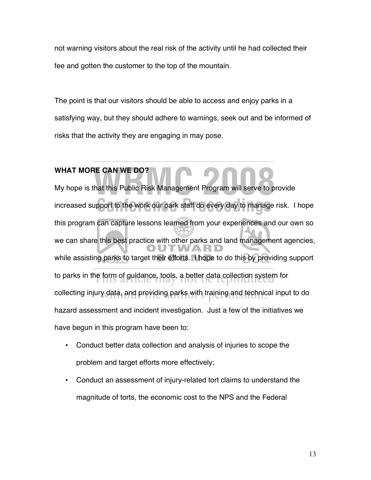not warning visitors about the real risk of the activity until he had collected their fee and gotten the customer to the top of the mountain.

The point is that our visitors should be able to access and enjoy parks in a satisfying way, but they should adhere to warnings, seek out and be informed of risks that the activity they are engaging in may pose.

# **WHAT MORE CAN WE DO?**

My hope is that this Public Risk Management Program will serve to provide increased support to the work our park staff do every day to manage risk. I hope this program can capture lessons learned from your experiences and our own so we can share this best practice with other parks and land management agencies, while assisting parks to target their efforts. I hope to do this by providing support to parks in the form of guidance, tools, a better data collection system for<br>This article may not be reproduced collecting injury data, and providing parks with training and technical input to do hazard assessment and incident investigation. Just a few of the initiatives we have begun in this program have been to: pport to the work our park staff do every day to manage **RE CAN WE DO?**<br>that this Public Risk Management Program will serve to p

- Conduct better data collection and analysis of injuries to scope the problem and target efforts more effectively;
- Conduct an assessment of injury-related tort claims to understand the magnitude of torts, the economic cost to the NPS and the Federal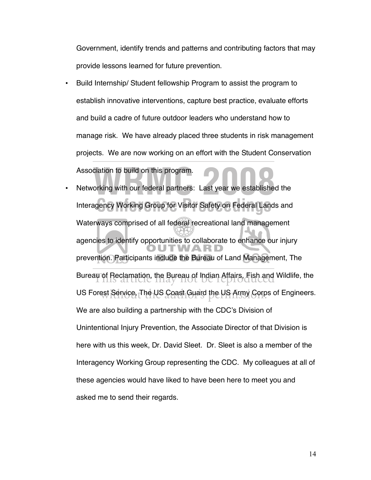Government, identify trends and patterns and contributing factors that may provide lessons learned for future prevention.

- Build Internship/ Student fellowship Program to assist the program to establish innovative interventions, capture best practice, evaluate efforts and build a cadre of future outdoor leaders who understand how to manage risk. We have already placed three students in risk management projects. We are now working on an effort with the Student Conservation Association to build on this program.
- Networking with our federal partners: Last year we established the Interagency Working Group for Visitor Safety on Federal Lands and Waterways comprised of all federal recreational land management agencies to identify opportunities to collaborate to enhance our injury prevention. Participants include the Bureau of Land Management, The Bureau of Reclamation, the Bureau of Indian Affairs, Fish and Wildlife, the **Reclamation**, the Reclamation of the Reclamation of the Reclamation of the Reclamation of the Reclamation of the Reclamation of the Reclamation o US Forest Service, The US Coast Guard the US Army Gorps of Engineers. We are also building a partnership with the CDC's Division of Unintentional Injury Prevention, the Associate Director of that Division is here with us this week, Dr. David Sleet. Dr. Sleet is also a member of the Interagency Working Group representing the CDC. My colleagues at all of these agencies would have liked to have been here to meet you and asked me to send their regards. gency Working Group for Visitor Safety on Federal Lan ciation to build on this program.<br>orking with our federal partners: Last year we establishe